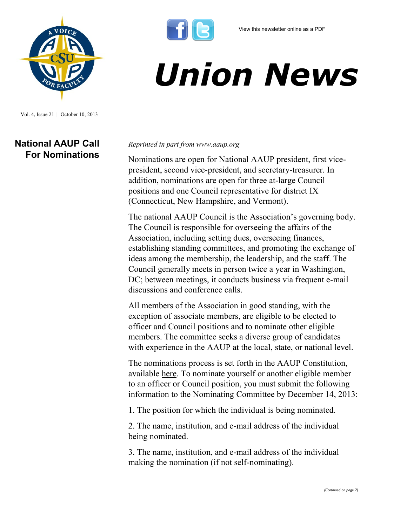

## *Union News*

Vol. 4, Issue 21 | October 10, 2013

## **National AAUP Call For Nominations**

## *Reprinted in part from www.aaup.org*

Nominations are open for National AAUP president, first vicepresident, second vice-president, and secretary-treasurer. In addition, nominations are open for three at-large Council positions and one Council representative for district IX (Connecticut, New Hampshire, and Vermont).

The national AAUP Council is the Association's governing body. The Council is responsible for overseeing the affairs of the Association, including setting dues, overseeing finances, establishing standing committees, and promoting the exchange of ideas among the membership, the leadership, and the staff. The Council generally meets in person twice a year in Washington, DC; between meetings, it conducts business via frequent e-mail discussions and conference calls.

All members of the Association in good standing, with the exception of associate members, are eligible to be elected to officer and Council positions and to nominate other eligible members. The committee seeks a diverse group of candidates with experience in the AAUP at the local, state, or national level.

The nominations process is set forth in the AAUP Constitution, available [here.](http://www.aaup.org/about/organization/aaup-constitution) To nominate yourself or another eligible member to an officer or Council position, you must submit the following information to the Nominating Committee by December 14, 2013:

1. The position for which the individual is being nominated.

2. The name, institution, and e-mail address of the individual being nominated.

3. The name, institution, and e-mail address of the individual making the nomination (if not self-nominating).